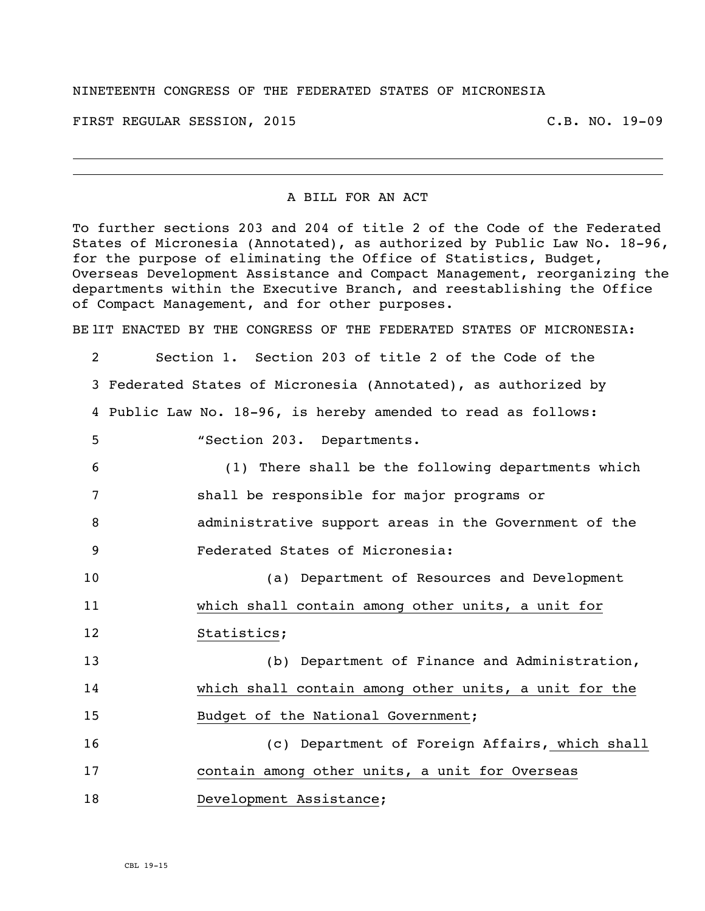## NINETEENTH CONGRESS OF THE FEDERATED STATES OF MICRONESIA

FIRST REGULAR SESSION, 2015 C.B. NO. 19-09

## A BILL FOR AN ACT

To further sections 203 and 204 of title 2 of the Code of the Federated States of Micronesia (Annotated), as authorized by Public Law No. 18-96, for the purpose of eliminating the Office of Statistics, Budget, Overseas Development Assistance and Compact Management, reorganizing the departments within the Executive Branch, and reestablishing the Office of Compact Management, and for other purposes.

BE IIT ENACTED BY THE CONGRESS OF THE FEDERATED STATES OF MICRONESIA:

 Section 1. Section 203 of title 2 of the Code of the Federated States of Micronesia (Annotated), as authorized by Public Law No. 18-96, is hereby amended to read as follows: "Section 203. Departments. (1) There shall be the following departments which shall be responsible for major programs or administrative support areas in the Government of the Federated States of Micronesia: (a) Department of Resources and Development which shall contain among other units, a unit for Statistics; (b) Department of Finance and Administration, which shall contain among other units, a unit for the 15 Budget of the National Government; (c) Department of Foreign Affairs, which shall contain among other units, a unit for Overseas 18 Development Assistance;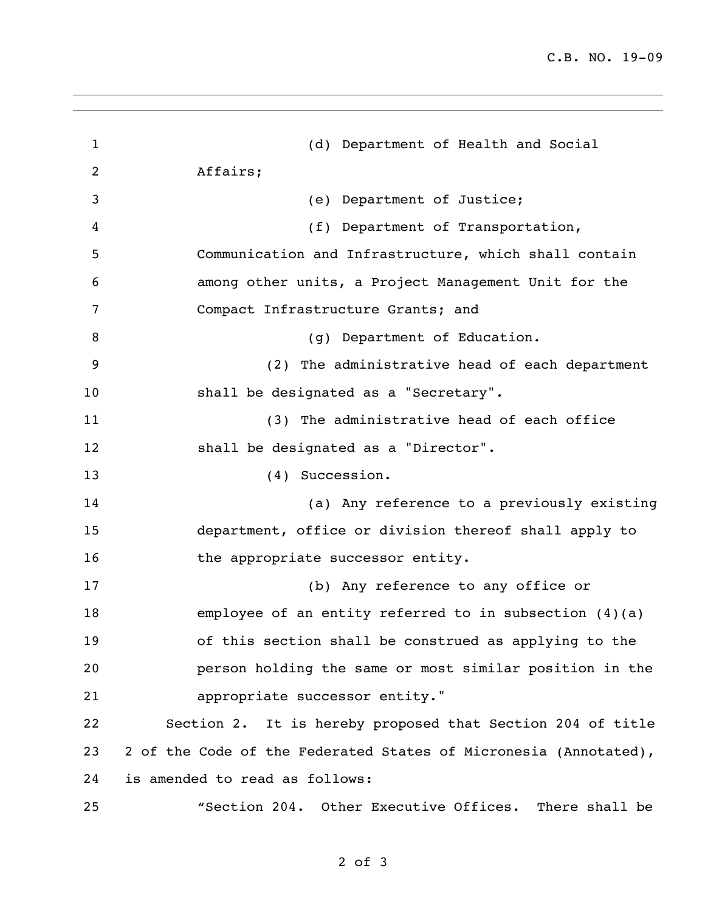| $\mathbf{1}$   | (d) Department of Health and Social                              |
|----------------|------------------------------------------------------------------|
| $\overline{2}$ | Affairs;                                                         |
| 3              | (e) Department of Justice;                                       |
| 4              | (f) Department of Transportation,                                |
| 5              | Communication and Infrastructure, which shall contain            |
| 6              | among other units, a Project Management Unit for the             |
| 7              | Compact Infrastructure Grants; and                               |
| 8              | (g) Department of Education.                                     |
| 9              | (2) The administrative head of each department                   |
| 10             | shall be designated as a "Secretary".                            |
| 11             | (3) The administrative head of each office                       |
| 12             | shall be designated as a "Director".                             |
| 13             | (4) Succession.                                                  |
| 14             | (a) Any reference to a previously existing                       |
| 15             | department, office or division thereof shall apply to            |
| 16             | the appropriate successor entity.                                |
| 17             | (b) Any reference to any office or                               |
| 18             | employee of an entity referred to in subsection $(4)(a)$         |
| 19             | of this section shall be construed as applying to the            |
| 20             | person holding the same or most similar position in the          |
| 21             | appropriate successor entity."                                   |
| 22             | Section 2. It is hereby proposed that Section 204 of title       |
| 23             | 2 of the Code of the Federated States of Micronesia (Annotated), |
| 24             | is amended to read as follows:                                   |
| 25             | "Section 204. Other Executive Offices. There shall be            |